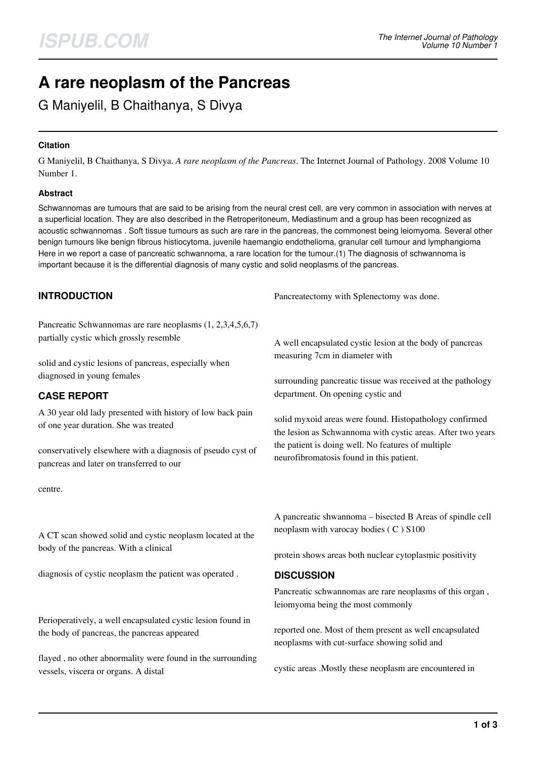# **A rare neoplasm of the Pancreas**

G Maniyelil, B Chaithanya, S Divya

## **Citation**

G Maniyelil, B Chaithanya, S Divya. *A rare neoplasm of the Pancreas*. The Internet Journal of Pathology. 2008 Volume 10 Number 1.

### **Abstract**

Schwannomas are tumours that are said to be arising from the neural crest cell, are very common in association with nerves at a superficial location. They are also described in the Retroperitoneum, Mediastinum and a group has been recognized as acoustic schwannomas . Soft tissue tumours as such are rare in the pancreas, the commonest being leiomyoma. Several other benign tumours like benign fibrous histiocytoma, juvenile haemangio endothelioma, granular cell tumour and lymphangioma Here in we report a case of pancreatic schwannoma, a rare location for the tumour.(1) The diagnosis of schwannoma is important because it is the differential diagnosis of many cystic and solid neoplasms of the pancreas.

# **INTRODUCTION**

Pancreatic Schwannomas are rare neoplasms (1, 2,3,4,5,6,7) partially cystic which grossly resemble

solid and cystic lesions of pancreas, especially when diagnosed in young females

# **CASE REPORT**

A 30 year old lady presented with history of low back pain of one year duration. She was treated

conservatively elsewhere with a diagnosis of pseudo cyst of pancreas and later on transferred to our

centre.

A CT scan showed solid and cystic neoplasm located at the body of the pancreas. With a clinical

diagnosis of cystic neoplasm the patient was operated .

Perioperatively, a well encapsulated cystic lesion found in the body of pancreas, the pancreas appeared

flayed , no other abnormality were found in the surrounding vessels, viscera or organs. A distal

Pancreatectomy with Splenectomy was done.

A well encapsulated cystic lesion at the body of pancreas measuring 7cm in diameter with

surrounding pancreatic tissue was received at the pathology department. On opening cystic and

solid myxoid areas were found. Histopathology confirmed the lesion as Schwannoma with cystic areas. After two years the patient is doing well. No features of multiple neurofibromatosis found in this patient.

A pancreatic shwannoma – bisected B Areas of spindle cell neoplasm with varocay bodies ( C ) S100

protein shows areas both nuclear cytoplasmic positivity

# **DISCUSSION**

Pancreatic schwannomas are rare neoplasms of this organ , leiomyoma being the most commonly

reported one. Most of them present as well encapsulated neoplasms with cut-surface showing solid and

cystic areas .Mostly these neoplasm are encountered in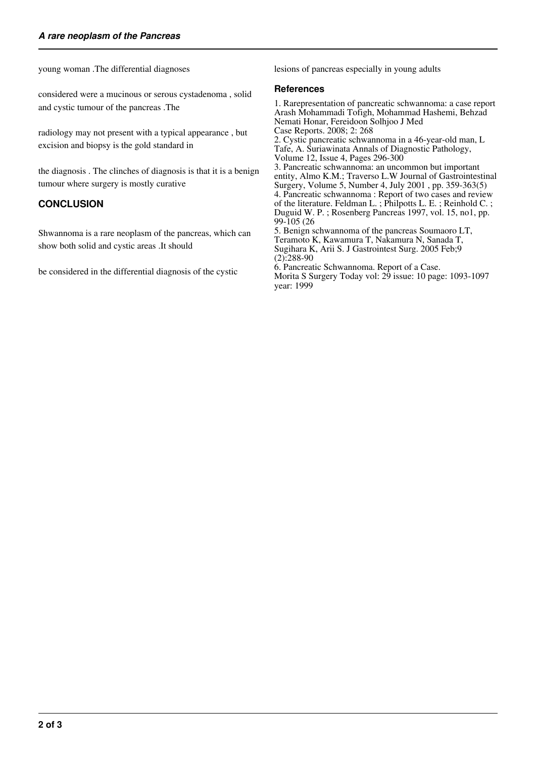young woman .The differential diagnoses

considered were a mucinous or serous cystadenoma , solid and cystic tumour of the pancreas .The

radiology may not present with a typical appearance , but excision and biopsy is the gold standard in

the diagnosis . The clinches of diagnosis is that it is a benign tumour where surgery is mostly curative

# **CONCLUSION**

Shwannoma is a rare neoplasm of the pancreas, which can show both solid and cystic areas .It should

be considered in the differential diagnosis of the cystic

lesions of pancreas especially in young adults

#### **References**

year: 1999

1. Rarepresentation of pancreatic schwannoma: a case report Arash Mohammadi Tofigh, Mohammad Hashemi, Behzad Nemati Honar, Fereidoon Solhjoo J Med Case Reports. 2008; 2: 268 2. Cystic pancreatic schwannoma in a 46-year-old man, L Tafe, A. Suriawinata Annals of Diagnostic Pathology, Volume 12, Issue 4, Pages 296-300 3. Pancreatic schwannoma: an uncommon but important entity, Almo K.M.; Traverso L.W Journal of Gastrointestinal Surgery, Volume 5, Number 4, July 2001 , pp. 359-363(5) 4. Pancreatic schwannoma : Report of two cases and review of the literature. Feldman L. ; Philpotts L. E. ; Reinhold C. ; Duguid W. P. ; Rosenberg Pancreas 1997, vol. 15, no1, pp. 99-105 (26 5. Benign schwannoma of the pancreas Soumaoro LT, Teramoto K, Kawamura T, Nakamura N, Sanada T, Sugihara K, Arii S. J Gastrointest Surg. 2005 Feb;9  $(2):288-90$ 6. Pancreatic Schwannoma. Report of a Case. Morita S Surgery Today vol: 29 issue: 10 page: 1093-1097